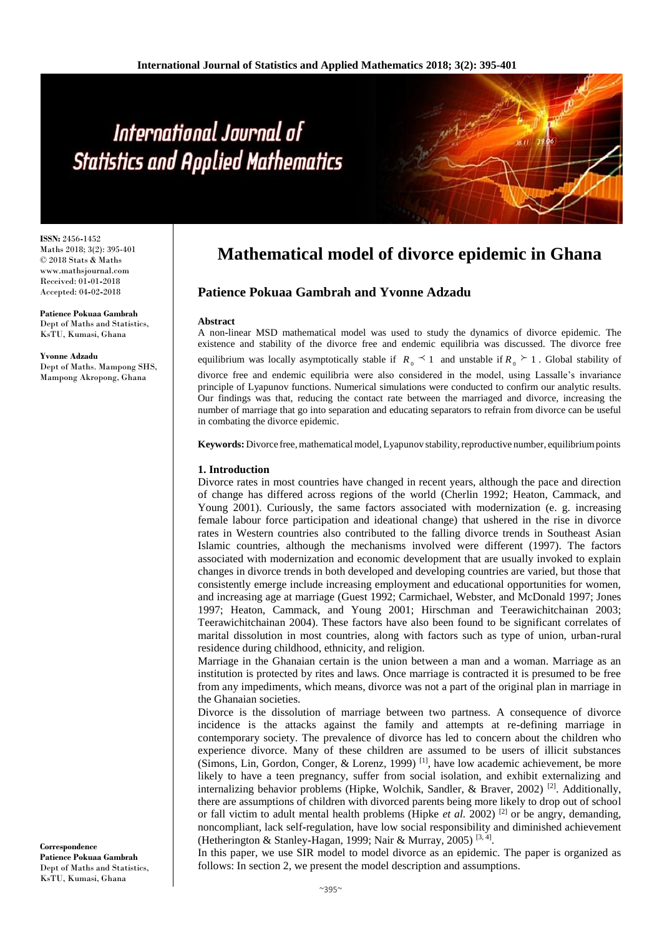# International Journal of **Statistics and Applied Mathematics**

**ISSN:** 2456**-**1452 Maths 2018; 3(2): 395-401 © 2018 Stats & Maths www.mathsjournal.com Received: 01**-**01**-**2018 Accepted: 04**-**02**-**2018

**Patience Pokuaa Gambrah** Dept of Maths and Statistics, KsTU, Kumasi, Ghana

**Yvonne Adzadu** Dept of Maths. Mampong SHS, Mampong Akropong, Ghana

# **Mathematical model of divorce epidemic in Ghana**

# **Patience Pokuaa Gambrah and Yvonne Adzadu**

#### **Abstract**

A non**-**linear MSD mathematical model was used to study the dynamics of divorce epidemic. The existence and stability of the divorce free and endemic equilibria was discussed. The divorce free equilibrium was locally asymptotically stable if  $R_0 \leq 1$  and unstable if  $R_0 \geq 1$ . Global stability of divorce free and endemic equilibria were also considered in the model, using Lassalle's invariance principle of Lyapunov functions. Numerical simulations were conducted to confirm our analytic results. Our findings was that, reducing the contact rate between the marriaged and divorce, increasing the number of marriage that go into separation and educating separators to refrain from divorce can be useful in combating the divorce epidemic.

**Keywords:** Divorce free, mathematical model, Lyapunov stability, reproductive number, equilibrium points

#### **1. Introduction**

Divorce rates in most countries have changed in recent years, although the pace and direction of change has differed across regions of the world (Cherlin 1992; Heaton, Cammack, and Young 2001). Curiously, the same factors associated with modernization (e. g. increasing female labour force participation and ideational change) that ushered in the rise in divorce rates in Western countries also contributed to the falling divorce trends in Southeast Asian Islamic countries, although the mechanisms involved were different (1997). The factors associated with modernization and economic development that are usually invoked to explain changes in divorce trends in both developed and developing countries are varied, but those that consistently emerge include increasing employment and educational opportunities for women, and increasing age at marriage (Guest 1992; Carmichael, Webster, and McDonald 1997; Jones 1997; Heaton, Cammack, and Young 2001; Hirschman and Teerawichitchainan 2003; Teerawichitchainan 2004). These factors have also been found to be significant correlates of marital dissolution in most countries, along with factors such as type of union, urban**-**rural residence during childhood, ethnicity, and religion.

Marriage in the Ghanaian certain is the union between a man and a woman. Marriage as an institution is protected by rites and laws. Once marriage is contracted it is presumed to be free from any impediments, which means, divorce was not a part of the original plan in marriage in the Ghanaian societies.

Divorce is the dissolution of marriage between two partness. A consequence of divorce incidence is the attacks against the family and attempts at re**-**defining marriage in contemporary society. The prevalence of divorce has led to concern about the children who experience divorce. Many of these children are assumed to be users of illicit substances (Simons, Lin, Gordon, Conger, & Lorenz, 1999)<sup>[1]</sup>, have low academic achievement, be more likely to have a teen pregnancy, suffer from social isolation, and exhibit externalizing and internalizing behavior problems (Hipke, Wolchik, Sandler, & Braver, 2002) <sup>[2]</sup>. Additionally, there are assumptions of children with divorced parents being more likely to drop out of school or fall victim to adult mental health problems (Hipke *et al.* 2002)<sup>[2]</sup> or be angry, demanding, noncompliant, lack self**-**regulation, have low social responsibility and diminished achievement (Hetherington & Stanley**-**Hagan, 1999; Nair & Murray, 2005) [3, 4] .

In this paper, we use SIR model to model divorce as an epidemic. The paper is organized as follows: In section 2, we present the model description and assumptions.

**Correspondence Patience Pokuaa Gambrah** Dept of Maths and Statistics, KsTU, Kumasi, Ghana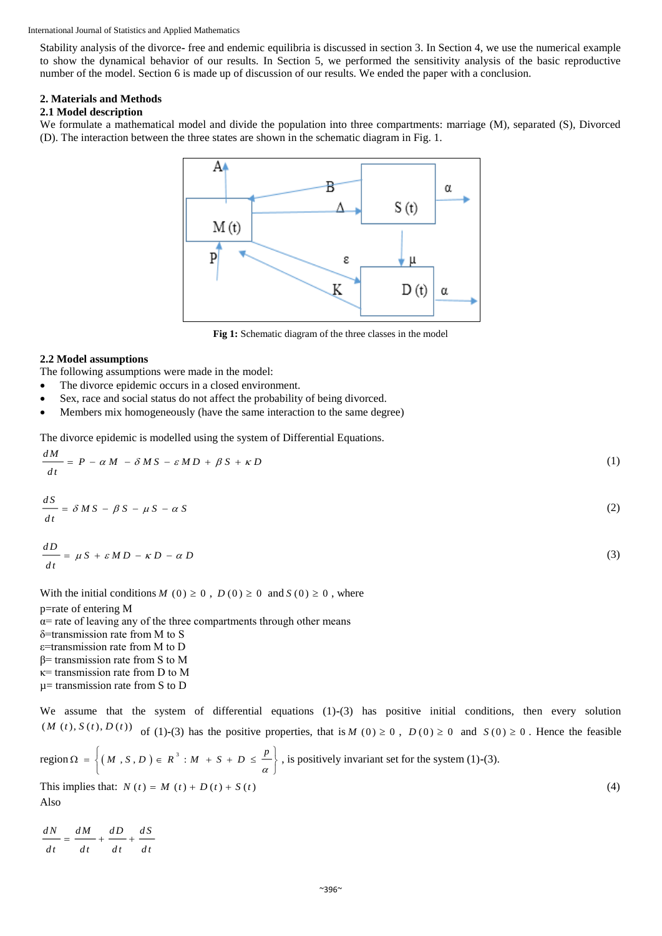#### International Journal of Statistics and Applied Mathematics

Stability analysis of the divorce**-** free and endemic equilibria is discussed in section 3. In Section 4, we use the numerical example to show the dynamical behavior of our results. In Section 5, we performed the sensitivity analysis of the basic reproductive number of the model. Section 6 is made up of discussion of our results. We ended the paper with a conclusion.

#### **2. Materials and Methods**

#### **2.1 Model description**

We formulate a mathematical model and divide the population into three compartments: marriage (M), separated (S), Divorced (D). The interaction between the three states are shown in the schematic diagram in Fig. 1.



Fig 1: Schematic diagram of the three classes in the model

## **2.2 Model assumptions**

The following assumptions were made in the model:

- The divorce epidemic occurs in a closed environment.
- Sex, race and social status do not affect the probability of being divorced.
- Members mix homogeneously (have the same interaction to the same degree)

The divorce epidemic is modelled using the system of Differential Equations.

$$
\frac{dM}{dt} = P - \alpha M - \delta MS - \varepsilon MD + \beta S + \kappa D \tag{1}
$$
\n
$$
dS
$$

$$
\frac{dS}{dt} = \delta MS - \beta S - \mu S - \alpha S \tag{2}
$$

$$
\frac{dD}{dt} = \mu S + \varepsilon M D - \kappa D - \alpha D \tag{3}
$$

With the initial conditions  $M(0) \ge 0$ ,  $D(0) \ge 0$  and  $S(0) \ge 0$ , where

p=rate of entering M  $\alpha$ = rate of leaving any of the three compartments through other means δ=transmission rate from M to S ε=transmission rate from M to D β= transmission rate from S to M κ= transmission rate from D to M µ= transmission rate from S to D

We assume that the system of differential equations (1)**-**(3) has positive initial conditions, then every solution  $(M(t), S(t), D(t))$  of (1)-(3) has the positive properties, that is  $M(0) \ge 0$ ,  $D(0) \ge 0$  and  $S(0) \ge 0$ . Hence the feasible

region 
$$
\Omega = \left\{ (M, S, D) \in R^3 : M + S + D \le \frac{p}{\alpha} \right\}
$$
, is positively invariant set for the system (1)-(3).  
This implies that:  $N(t) = M(t) + D(t) + S(t)$  (4)

Also

*dN dM dD*  $dt$   $dt$   $dt$   $dt$   $dt$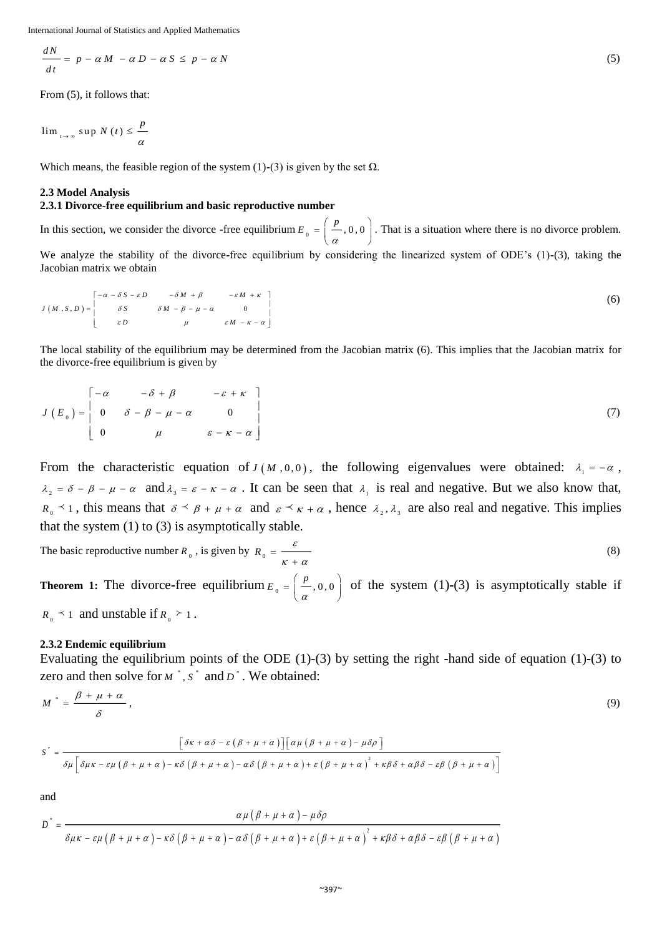International Journal of Statistics and Applied Mathematics

$$
\frac{dN}{dt} = p - \alpha M - \alpha D - \alpha S \le p - \alpha N
$$

From (5), it follows that:

$$
\lim_{t \to \infty} \sup N(t) \leq \frac{p}{\alpha}
$$

Which means, the feasible region of the system  $(1)$ **-** $(3)$  is given by the set  $\Omega$ .

#### **2.3 Model Analysis**

#### **2.3.1 Divorce-free equilibrium and basic reproductive number**

In this section, we consider the divorce **-**free equilibrium  $E_0 = \left( \frac{p}{q} \right)$ , 0, 0 α  $=\left(\frac{p}{\alpha}, 0, 0\right)$ . That is a situation where there is no divorce problem. We analyze the stability of the divorce**-**free equilibrium by considering the linearized system of ODE's (1)**-**(3), taking the Jacobian matrix we obtain

$$
J(M, S, D) = \begin{bmatrix} -\alpha - \delta S - \varepsilon D & -\delta M + \beta & -\varepsilon M + \kappa \\ \delta S & \delta M - \beta - \mu - \alpha & 0 \\ \varepsilon D & \mu & \varepsilon M - \kappa - \alpha \end{bmatrix}
$$
 (6)

The local stability of the equilibrium may be determined from the Jacobian matrix (6). This implies that the Jacobian matrix for the divorce**-**free equilibrium is given by

$$
J(E_0) = \begin{bmatrix} -\alpha & -\delta + \beta & -\varepsilon + \kappa \\ 0 & \delta - \beta - \mu - \alpha & 0 \\ 0 & \mu & \varepsilon - \kappa - \alpha \end{bmatrix}
$$
 (7)

From the characteristic equation of  $J(M, 0, 0)$ , the following eigenvalues were obtained:  $\lambda_1 = -\alpha$ ,  $\lambda_2 = \delta - \beta - \mu - \alpha$  and  $\lambda_3 = \varepsilon - \kappa - \alpha$ . It can be seen that  $\lambda_1$  is real and negative. But we also know that,  $R_0 \leq 1$ , this means that  $\delta \leq \beta + \mu + \alpha$  and  $\varepsilon \leq \kappa + \alpha$ , hence  $\lambda_2, \lambda_3$  are also real and negative. This implies that the system  $(1)$  to  $(3)$  is asymptotically stable.

The basic reproductive number 
$$
R_0
$$
, is given by  $R_0 = \frac{\varepsilon}{\kappa + \alpha}$  (8)

**Theorem 1:** The divorce-free equilibrium  $E_0 = \frac{p}{q}$ , 0, 0 α  $=\left(\frac{p}{\alpha}, 0, 0\right)$  of the system (1)-(3) is asymptotically stable if  $R_0 \leq 1$  and unstable if  $R_0 \geq 1$ .

#### **2.3.2 Endemic equilibrium**

Evaluating the equilibrium points of the ODE (1)-(3) by setting the right **-**hand side of equation (1)**-**(3) to zero and then solve for  $M^*$ ,  $S^*$  and  $D^*$ . We obtained:

$$
M^* = \frac{\beta + \mu + \alpha}{\delta},\tag{9}
$$

$$
S^* = \frac{\left[\delta\kappa + \alpha\delta - \varepsilon\left(\beta + \mu + \alpha\right)\right]\left[\alpha\mu\left(\beta + \mu + \alpha\right) - \mu\delta\rho\right]}{\delta\mu\left[\delta\mu\kappa - \varepsilon\mu\left(\beta + \mu + \alpha\right) - \kappa\delta\left(\beta + \mu + \alpha\right) - \alpha\delta\left(\beta + \mu + \alpha\right) + \varepsilon\left(\beta + \mu + \alpha\right)^2 + \kappa\beta\delta + \alpha\beta\delta - \varepsilon\beta\left(\beta + \mu + \alpha\right)\right]}
$$

and

$$
D^* = \frac{\alpha \mu (\beta + \mu + \alpha) - \mu \delta \rho}{\delta \mu \kappa - \varepsilon \mu (\beta + \mu + \alpha) - \kappa \delta (\beta + \mu + \alpha) - \alpha \delta (\beta + \mu + \alpha) + \varepsilon (\beta + \mu + \alpha)^2 + \kappa \beta \delta + \alpha \beta \delta - \varepsilon \beta (\beta + \mu + \alpha)}
$$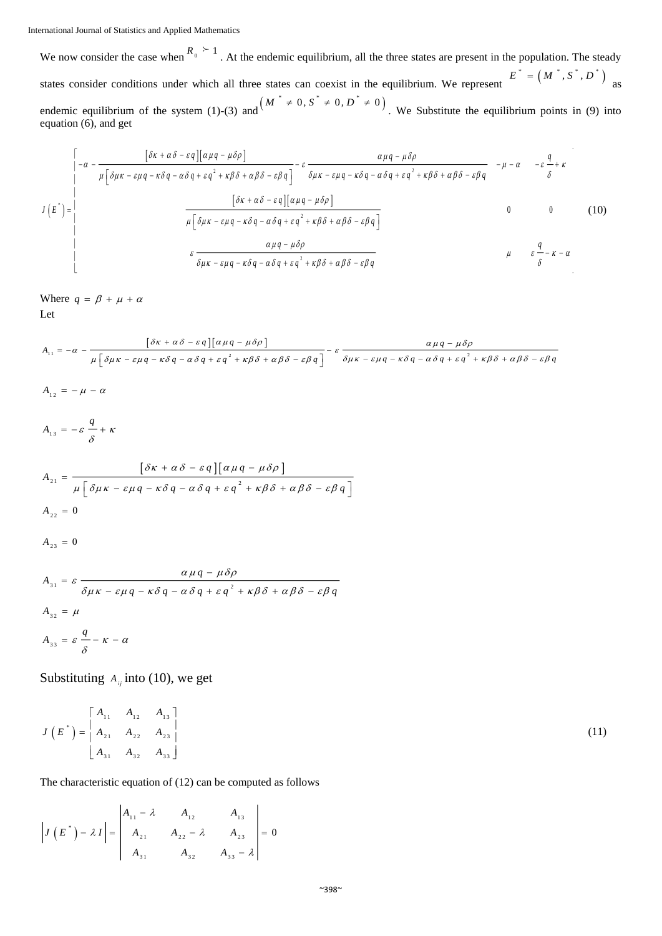We now consider the case when  $R_0 \n\geq 1$ . At the endemic equilibrium, all the three states are present in the population. The steady states consider conditions under which all three states can coexist in the equilibrium. We represent  $E^* = (M^*, S^*, D^*)$  as endemic equilibrium of the system (1)-(3) and  $(M^* \neq 0, S^* \neq 0, D^* \neq 0)$ . We Substitute the equilibrium points in (9) into equation (6), and get

$$
J(E^*) = \begin{bmatrix} \frac{[\delta \kappa + \alpha \delta - \varepsilon q][\alpha \mu q - \mu \delta \rho]}{\mu [\delta \mu \kappa - \varepsilon \mu q - \kappa \delta q - \alpha \delta q + \varepsilon q^2 + \kappa \beta \delta + \alpha \beta \delta - \varepsilon \beta q]} - \varepsilon \frac{\alpha \mu q - \mu \delta \rho}{\delta \mu \kappa - \varepsilon \mu q - \kappa \delta q - \alpha \delta q + \varepsilon q^2 + \kappa \beta \delta + \alpha \beta \delta - \varepsilon \beta q} - \mu - \alpha - \varepsilon \frac{q}{\delta} + \kappa \end{bmatrix}
$$
  
\n
$$
J(E^*) = \begin{bmatrix} \frac{[\delta \kappa + \alpha \delta - \varepsilon q][\alpha \mu q - \mu \delta \rho]}{\mu [\delta \mu \kappa - \varepsilon \mu q - \kappa \delta q - \alpha \delta q + \varepsilon q^2 + \kappa \beta \delta + \alpha \beta \delta - \varepsilon \beta q]} & 0 & 0 & (10) \\ \frac{\alpha \mu q - \mu \delta \rho}{\delta \mu \kappa - \varepsilon \mu q - \kappa \delta q - \alpha \delta q + \varepsilon q^2 + \kappa \beta \delta + \alpha \beta \delta - \varepsilon \beta q} & \mu & \varepsilon \frac{q}{\delta} - \kappa - \alpha \end{bmatrix}
$$

Where  $q = \beta + \mu + \alpha$ Let

$$
A_{11} = -\alpha - \frac{[\delta \kappa + \alpha \delta - \varepsilon q][\alpha \mu q - \mu \delta \rho]}{\mu [\delta \mu \kappa - \varepsilon \mu q - \kappa \delta q - \alpha \delta q + \varepsilon q^2 + \kappa \beta \delta + \alpha \beta \delta - \varepsilon \beta q]} - \varepsilon \frac{\alpha \mu q - \mu \delta \rho}{\delta \mu \kappa - \varepsilon \mu q - \kappa \delta q - \alpha \delta q + \varepsilon q^2 + \kappa \beta \delta + \alpha \beta \delta - \varepsilon \beta q}
$$
  
\n
$$
A_{12} = -\mu - \alpha
$$
  
\n
$$
A_{13} = -\varepsilon \frac{q}{\delta} + \kappa
$$
  
\n
$$
A_{21} = \frac{[\delta \kappa + \alpha \delta - \varepsilon q][\alpha \mu q - \mu \delta \rho]}{\mu [\delta \mu \kappa - \varepsilon \mu q - \kappa \delta q - \alpha \delta q + \varepsilon q^2 + \kappa \beta \delta + \alpha \beta \delta - \varepsilon \beta q]}
$$
  
\n
$$
A_{22} = 0
$$
  
\n
$$
A_{31} = \varepsilon \frac{\alpha \mu q - \mu \delta \rho}{\delta \mu \kappa - \varepsilon \mu q - \kappa \delta q - \alpha \delta q + \varepsilon q^2 + \kappa \beta \delta + \alpha \beta \delta - \varepsilon \beta q}
$$
  
\n
$$
A_{32} = \mu
$$
  
\n
$$
A_{33} = \varepsilon \frac{q}{\delta} - \kappa - \alpha
$$

Substituting  $A_{ij}$  into (10), we get

$$
J(E^*) = \begin{bmatrix} A_{11} & A_{12} & A_{13} \\ A_{21} & A_{22} & A_{23} \\ A_{31} & A_{32} & A_{33} \end{bmatrix}
$$
 (11)

The characteristic equation of (12) can be computed as follows

$$
\left| J\left(E^{*}\right) - \lambda I \right| = \begin{vmatrix} A_{11} - \lambda & A_{12} & A_{13} \\ A_{21} & A_{22} - \lambda & A_{23} \\ A_{31} & A_{32} & A_{33} - \lambda \end{vmatrix} = 0
$$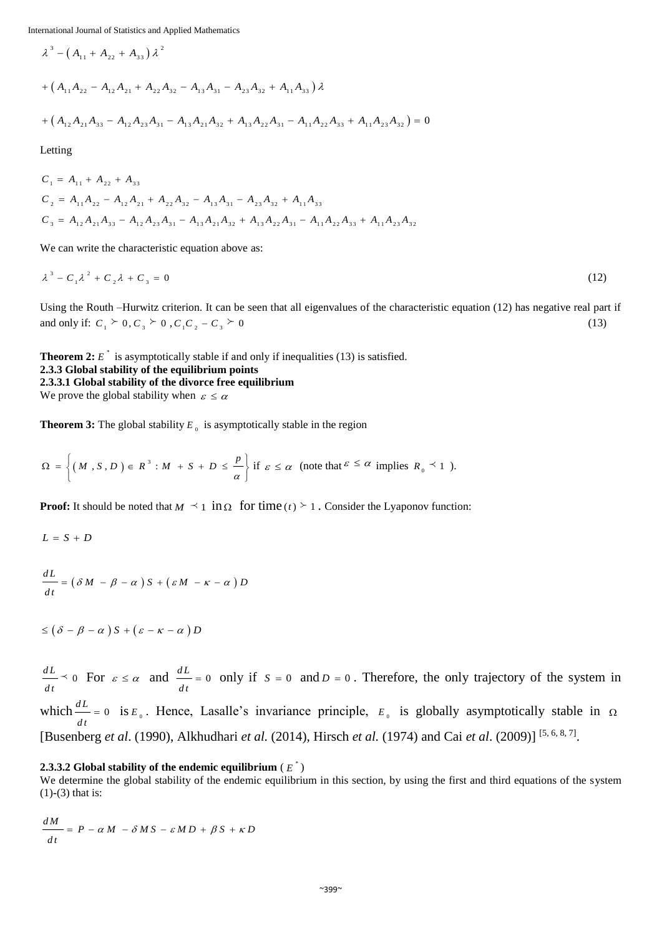International Journal of Statistics and Applied Mathematics

$$
\lambda^{3} - (A_{11} + A_{22} + A_{33}) \lambda^{2}
$$
  
+  $(A_{11}A_{22} - A_{12}A_{21} + A_{22}A_{32} - A_{13}A_{31} - A_{23}A_{32} + A_{11}A_{33}) \lambda$   
+  $(A_{12}A_{21}A_{33} - A_{12}A_{23}A_{31} - A_{13}A_{21}A_{32} + A_{13}A_{22}A_{31} - A_{11}A_{22}A_{33} + A_{11}A_{23}A_{32}) = 0$ 

Letting

$$
C_1 = A_{11} + A_{22} + A_{33}
$$
  
\n
$$
C_2 = A_{11}A_{22} - A_{12}A_{21} + A_{22}A_{32} - A_{13}A_{31} - A_{23}A_{32} + A_{11}A_{33}
$$
  
\n
$$
C_3 = A_{12}A_{21}A_{33} - A_{12}A_{23}A_{31} - A_{13}A_{21}A_{32} + A_{13}A_{22}A_{31} - A_{11}A_{22}A_{33} + A_{11}A_{23}A_{32}
$$

We can write the characteristic equation above as:

$$
\lambda^3 - C_1 \lambda^2 + C_2 \lambda + C_3 = 0 \tag{12}
$$

Using the Routh –Hurwitz criterion. It can be seen that all eigenvalues of the characteristic equation (12) has negative real part if and only if:  $C_1 \nightharpoonup 0$ ,  $C_3 \nightharpoonup 0$ ,  $C_1C_2 - C_3 \nightharpoonup 0$ (13)

**Theorem 2:**  $E^*$  is asymptotically stable if and only if inequalities (13) is satisfied. **2.3.3 Global stability of the equilibrium points 2.3.3.1 Global stability of the divorce free equilibrium** We prove the global stability when  $\varepsilon \leq \alpha$ 

**Theorem 3:** The global stability  $E_{\theta}$  is asymptotically stable in the region

$$
\Omega = \left\{ (M, S, D) \in R^3 : M + S + D \leq \frac{p}{\alpha} \right\} \text{ if } \varepsilon \leq \alpha \text{ (note that } \varepsilon \leq \alpha \text{ implies } R_0 \leq 1 ).
$$

**Proof:** It should be noted that  $M \leq 1$  in  $\Omega$  for time  $(t) \geq 1$ . Consider the Lyaponov function:

$$
L = S + D
$$

$$
\frac{dL}{dt} = \left(\delta M - \beta - \alpha\right)S + \left(\varepsilon M - \kappa - \alpha\right)D
$$

$$
\leq (\delta - \beta - \alpha) S + (\varepsilon - \kappa - \alpha) D
$$

 $\frac{dL}{ } \times 0$  $\frac{dL}{dt}$   $\leq$  0 For  $\varepsilon \leq \alpha$  and  $\frac{dL}{dt} = 0$  $\frac{dL}{dt}$  = 0 only if  $S = 0$  and  $D = 0$ . Therefore, the only trajectory of the system in which  $\frac{dL}{dx} = 0$  $\frac{dE}{dt} = 0$  is  $E_0$ . Hence, Lasalle's invariance principle,  $E_0$  is globally asymptotically stable in  $\Omega$ [Busenberg *et al*. (1990), Alkhudhari *et al.* (2014), Hirsch *et al.* (1974) and Cai *et al*. (2009)] [5, 6, 8, 7] .

#### **2.3.3.2** Global stability of the endemic equilibrium (  $E^*$  )

We determine the global stability of the endemic equilibrium in this section, by using the first and third equations of the system (1)**-**(3) that is:

$$
\frac{dM}{dt} = P - \alpha M - \delta M S - \varepsilon M D + \beta S + \kappa D
$$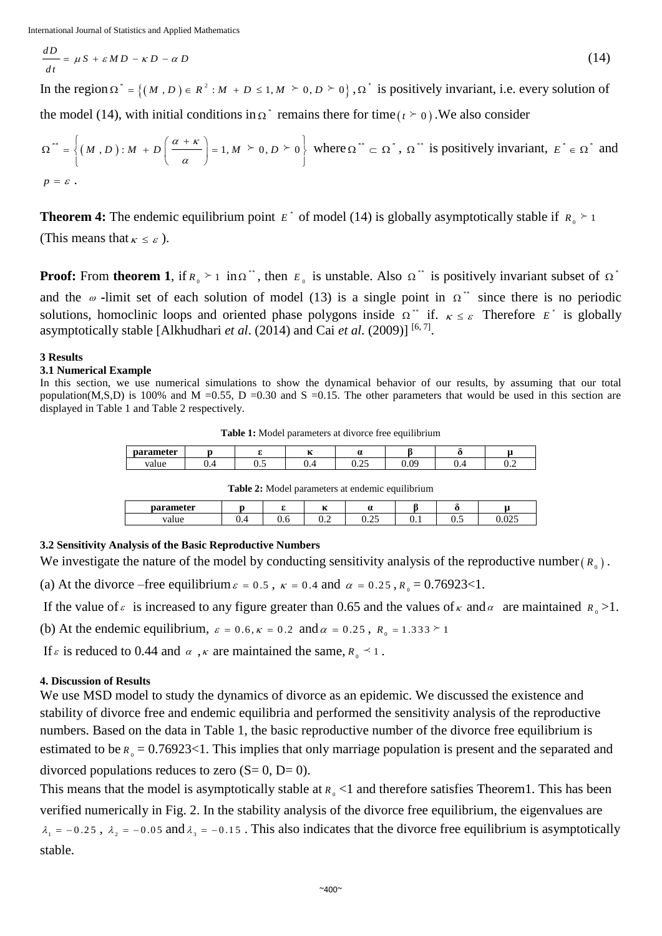$$
\frac{dD}{dt} = \mu S + \varepsilon M D - \kappa D - \alpha D
$$

In the region  $\Omega^* = \{(M, D) \in R^2 : M + D \le 1, M \ge 0, D \ge 0\},\$  $\Omega^*$  is positively invariant, i.e. every solution of

the model (14), with initial conditions in  $\Omega^*$  remains there for time ( $t \succeq 0$ ). We also consider

$$
\Omega^{\ast\ast} = \left\{ (M, D) : M + D\left(\frac{\alpha + \kappa}{\alpha}\right) = 1, M \ge 0, D \ge 0 \right\}
$$
 where  $\Omega^{\ast\ast} \subset \Omega^{\ast}$ ,  $\Omega^{\ast\ast}$  is positively invariant,  $E^{\ast} \in \Omega^{\ast}$  and  $p = \varepsilon$ .

**Theorem 4:** The endemic equilibrium point  $E^*$  of model (14) is globally asymptotically stable if  $R_0 \succeq 1$ (This means that  $\kappa \leq \varepsilon$ ).

**Proof:** From **theorem 1**, if  $R_0 \geq 1$  in  $\Omega^*$ , then  $E_0$  is unstable. Also  $\Omega^*$  is positively invariant subset of  $\Omega^*$ and the  $\omega$ -limit set of each solution of model (13) is a single point in  $\Omega^*$  since there is no periodic solutions, homoclinic loops and oriented phase polygons inside  $\Omega^*$  if.  $\kappa \leq \varepsilon$  Therefore  $E^*$  is globally asymptotically stable [Alkhudhari *et al.* (2014) and Cai *et al.* (2009)]<sup>[6,7]</sup>.

#### **3 Results**

#### **3.1 Numerical Example**

In this section, we use numerical simulations to show the dynamical behavior of our results, by assuming that our total population(M,S,D) is 100% and M =0.55, D =0.30 and S =0.15. The other parameters that would be used in this section are displayed in Table 1 and Table 2 respectively.

**Table 1:** Model parameters at divorce free equilibrium

| parameter | --  |          | - -<br>. . |                    |                  |     |          |
|-----------|-----|----------|------------|--------------------|------------------|-----|----------|
| value     | ∪.⊤ | -<br>∪.∪ | ∪.⊣        | $\sim$ $-$<br>∪.∠J | $\alpha$<br>∪.∪. | v.+ | -<br>∪.∠ |

**Table 2:** Model parameters at endemic equilibrium

| parameter |          |     | $\mathbf{z}$<br> | $\sim$<br>u    |    |                    |               |
|-----------|----------|-----|------------------|----------------|----|--------------------|---------------|
| value     | ∼<br>v.- | v.v | ∼.<br>∪.∠        | $\sim$<br>∪.∠J | ◡. | -<br>$\sim$<br>◡.◡ | 0.25<br>∪.∪∠J |

# **3.2 Sensitivity Analysis of the Basic Reproductive Numbers**

We investigate the nature of the model by conducting sensitivity analysis of the reproductive number  $(R_0)$ .

(a) At the divorce –free equilibrium  $\varepsilon = 0.5$ ,  $\kappa = 0.4$  and  $\alpha = 0.25$ ,  $R_0 = 0.76923 < 1$ .

If the value of  $\epsilon$  is increased to any figure greater than 0.65 and the values of  $\kappa$  and  $\alpha$  are maintained  $R_0 > 1$ .

(b) At the endemic equilibrium,  $\varepsilon = 0.6$ ,  $\kappa = 0.2$  and  $\alpha = 0.25$ ,  $R_0 = 1.333 \ge 1$ 

If  $\varepsilon$  is reduced to 0.44 and  $\alpha$ ,  $\kappa$  are maintained the same,  $R_0 \preceq 1$ .

## **4. Discussion of Results**

We use MSD model to study the dynamics of divorce as an epidemic. We discussed the existence and stability of divorce free and endemic equilibria and performed the sensitivity analysis of the reproductive numbers. Based on the data in Table 1, the basic reproductive number of the divorce free equilibrium is estimated to be  $R_0 = 0.76923 < 1$ . This implies that only marriage population is present and the separated and divorced populations reduces to zero  $(S= 0, D= 0)$ .

This means that the model is asymptotically stable at  $R_0$  <1 and therefore satisfies Theorem1. This has been verified numerically in Fig. 2. In the stability analysis of the divorce free equilibrium, the eigenvalues are  $\lambda_1 = -0.25$ ,  $\lambda_2 = -0.05$  and  $\lambda_3 = -0.15$ . This also indicates that the divorce free equilibrium is asymptotically stable.